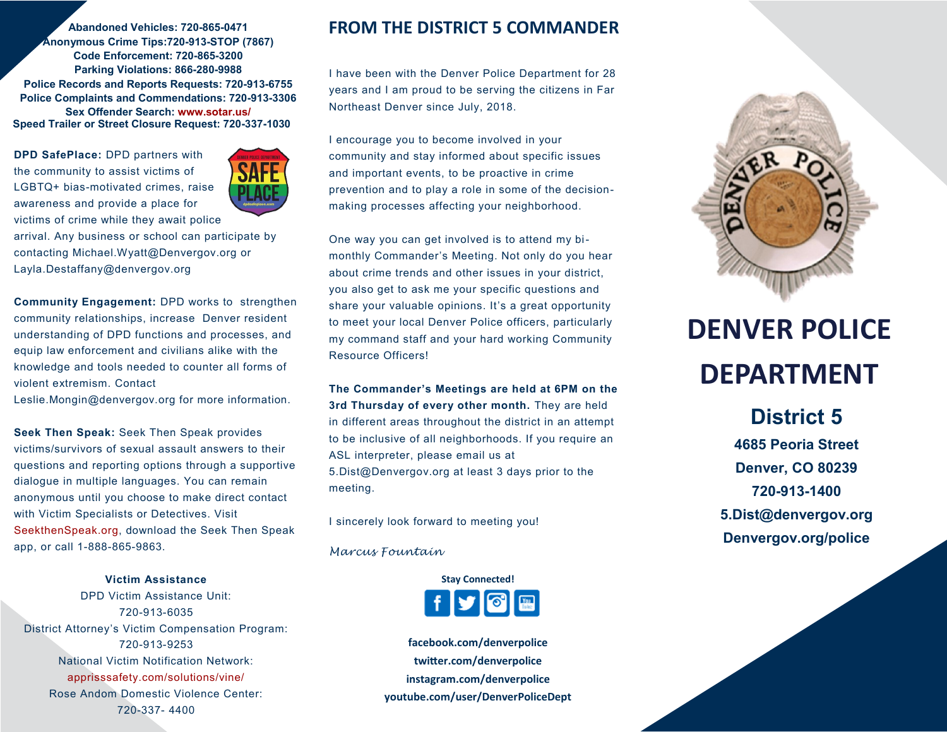**Abandoned Vehicles: 720-865-0471 Anonymous Crime Tips:720-913-STOP (7867) Code Enforcement: 720-865-3200 Parking Violations: 866-280-9988 Police Records and Reports Requests: 720-913-6755 Police Complaints and Commendations: 720-913-3306 Sex Offender Search: www.sotar.us/ Speed Trailer or Street Closure Request: 720-337-1030**

**DPD SafePlace:** DPD partners with the community to assist victims of LGBTQ+ bias-motivated crimes, raise awareness and provide a place for victims of crime while they await police



arrival. Any business or school can participate by contacting Michael.Wyatt@Denvergov.org or Layla.Destaffany@denvergov.org

**Community Engagement:** DPD works to strengthen community relationships, increase Denver resident understanding of DPD functions and processes, and equip law enforcement and civilians alike with the knowledge and tools needed to counter all forms of violent extremism. Contact

Leslie.Mongin@denvergov.org for more information.

**Seek Then Speak:** Seek Then Speak provides victims/survivors of sexual assault answers to their questions and reporting options through a supportive dialogue in multiple languages. You can remain anonymous until you choose to make direct contact with Victim Specialists or Detectives. Visit SeekthenSpeak.org, download the Seek Then Speak app, or call 1-888-865-9863.

**Victim Assistance** DPD Victim Assistance Unit: 720-913-6035 District Attorney's Victim Compensation Program: 720-913-9253 National Victim Notification Network: apprisssafety.com/solutions/vine/ Rose Andom Domestic Violence Center: 720-337- 4400

### **FROM THE DISTRICT 5 COMMANDER**

I have been with the Denver Police Department for 28 years and I am proud to be serving the citizens in Far Northeast Denver since July, 2018.

I encourage you to become involved in your community and stay informed about specific issues and important events, to be proactive in crime prevention and to play a role in some of the decisionmaking processes affecting your neighborhood.

One way you can get involved is to attend my bimonthly Commander's Meeting. Not only do you hear about crime trends and other issues in your district, you also get to ask me your specific questions and share your valuable opinions. It's a great opportunity to meet your local Denver Police officers, particularly my command staff and your hard working Community Resource Officers!

**The Commander's Meetings are held at 6PM on the 3rd Thursday of every other month.** They are held in different areas throughout the district in an attempt to be inclusive of all neighborhoods. If you require an ASL interpreter, please email us at

5.Dist@Denvergov.org at least 3 days prior to the meeting.

I sincerely look forward to meeting you!

*Marcus Fountain*



**facebook.com/denverpolice twitter.com/denverpolice instagram.com/denverpolice youtube.com/user/DenverPoliceDept**



# **DENVER POLICE DEPARTMENT**

**District 5 4685 Peoria Street Denver, CO 80239 720-913-1400 5.Dist@denvergov.org Denvergov.org/police**